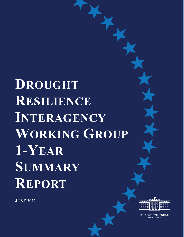**DROUGHT RESILIENCE INTERAGENCY WORKING GROUP 1-YEAR SUMMARY REPORT**

**JUNE 2022**



THE **WHITE HOUSE** WASHINGTON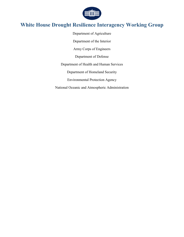

### **White House Drought Resilience Interagency Working Group**

Department of Agriculture Department of the Interior Army Corps of Engineers Department of Defense Department of Health and Human Services Department of Homeland Security Environmental Protection Agency National Oceanic and Atmospheric Administration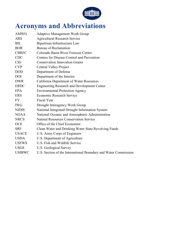

# <span id="page-2-0"></span>**Acronyms and Abbreviations**

| <b>AMWG</b>   | <b>Adaptive Management Work Group</b>                           |
|---------------|-----------------------------------------------------------------|
| <b>ARS</b>    | <b>Agricultural Research Service</b>                            |
| <b>BIL</b>    | Bipartisan Infrastructure Law                                   |
| <b>BOR</b>    | Bureau of Reclamation                                           |
| <b>CBRFC</b>  | Colorado Basin River Forecast Center                            |
| <b>CDC</b>    | Centers for Disease Control and Prevention                      |
| CIG           | <b>Conservation Innovation Grants</b>                           |
| <b>CVP</b>    | <b>Central Valley Project</b>                                   |
| <b>DOD</b>    | Department of Defense                                           |
| <b>DOI</b>    | Department of the Interior                                      |
| <b>DWR</b>    | California Department of Water Resources                        |
| <b>ERDC</b>   | <b>Engineering Research and Development Center</b>              |
| EPA           | <b>Environmental Protection Agency</b>                          |
| <b>ERS</b>    | <b>Economic Research Service</b>                                |
| <b>FY</b>     | <b>Fiscal Year</b>                                              |
| <b>IWG</b>    | Drought Interagency Work Group                                  |
| <b>NIDIS</b>  | National Integrated Drought Information System                  |
| <b>NOAA</b>   | National Oceanic and Atmospheric Administration                 |
| <b>NRCS</b>   | <b>Natural Resources Conservation Service</b>                   |
| <b>OCE</b>    | Office of the Chief Economist                                   |
| <b>SRF</b>    | Clean Water and Drinking Water State Revolving Funds            |
| <b>USACE</b>  | U.S. Army Corps of Engineers                                    |
| <b>USDA</b>   | U.S. Department of Agriculture                                  |
| <b>USFWS</b>  | U.S. Fish and Wildlife Service                                  |
| <b>USGS</b>   | U.S. Geological Survey                                          |
| <b>USIBWC</b> | U.S. Section of the International Boundary and Water Commission |
|               |                                                                 |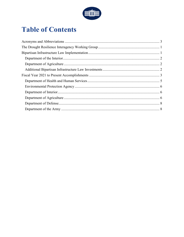

## **Table of Contents**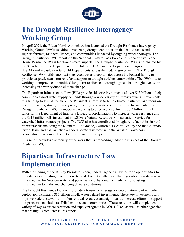

## <span id="page-4-0"></span>**The Drought Resilience Interagency Working Group**

In April 2021, the Biden-Harris Administration launched the Drought Resilience Interagency Working Group (IWG) to address worsening drought conditions in the United States and to support farmers, ranchers, Tribes, and communities impacted by ongoing water shortages. The Drought Resilience IWG reports to the National Climate Task Force and is one of five White House Resilience IWGs tackling climate impacts. The Drought Resilience IWG is co-chaired by the Secretaries of the Department of the Interior (DOI) and the Department of Agriculture (USDA) and includes a total of 14 Departments across the Federal government. The Drought Resilience IWG builds upon existing resources and coordinates across the Federal family to provide targeted, near-term relief and support to drought-stricken communities. The IWG is also working to improve communities' long-term resilience to drought, given that drought cycles are increasing in severity due to climate change.

The Bipartisan Infrastructure Law (BIL) provides historic investments of over \$13 billion to help communities meet water supply demands through a wide variety of infrastructure improvements; this funding follows-through on the President's promise to build climate resilience, and focus on water efficiency, storage, conveyance, recycling, and watershed protection. In particular, the Drought Resilience IWG members are working to effectively deploy the \$8.3 billion in BIL funds for the Department of Interior's Bureau of Reclamation's to increase water resilience and the \$918 million BIL investment in USDA's Natural Resources Conservation Service for watershed infrastructure projects. The IWG also has coordinated drought relief activities in hardhit watersheds including the Klamath, Rio Grande, California's Central Valley and the Colorado River Basin, and has launched a Federal-State task force with the Western Governors' Association to advance drought and soil monitoring systems.

This report provides a summary of the work that is proceeding under the auspices of the Drought Resilience IWG.

## <span id="page-4-1"></span>**Bipartisan Infrastructure Law Implementation**

With the signing of the BIL by President Biden, Federal agencies have historic opportunities to provide critical funding to address water and drought challenges. This legislation invests in new infrastructure for Western water and power while enhancing the resilience of existing infrastructure to withstand changing climate conditions.

The Drought Resilience IWG will provide a forum for interagency coordination to effectively deploy approximately \$13 billion in BIL water-related investments. These key investments will improve Federal stewardship of our critical resources and significantly increase efforts to support our partners, stakeholders, Tribal nations, and communities. These activities will complement a variety of key water conservation and supply programs in DOI, USDA, as well as other agencies that are highlighted later in this report.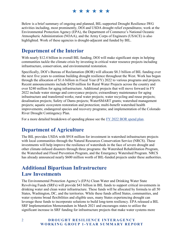Below is a brief summary of ongoing and planned, BIL-supported Drought Resilience IWG activities including, most prominently, DOI and USDA drought relief expenditures; work at the Environmental Protection Agency (EPA), the Department of Commerce's National Oceanic Atmospheric Administration (NOAA), and the Army Corps of Engineers (USACE) is also highlighted. Work of these agencies is drought-adjacent and funded by BIL.

### <span id="page-5-0"></span>**Department of the Interior**

With nearly \$12.4 billion in overall BIL funding, DOI will make significant steps in helping communities tackle the climate crisis by investing in critical water resource projects including infrastructure, conservation, and environmental restoration.

Specifically, DOI's Bureau of Reclamation (BOR) will allocate \$8.3 billion of BIL funding over the next five years to continue building drought resilience throughout the West. Work has begun through the allocation of \$1.6 billion in Fiscal Year (FY) 2022 to various programs and projects. Recent announcements include \$420 million for Rural Water Projects across the country and over \$240 million for aging infrastructure. Additional projects that will move forward in FY 2022 include water storage and conveyance projects; extraordinary maintenance for aging infrastructure and transferred works; rural water projects; water recycling and reuse projects; desalination projects; Safety of Dams projects; WaterSMART grants; watershed management projects; aquatic ecosystem restoration and protection; multi-benefit watershed health improvements; endangered species and recovery programs; and implementation of the Colorado River Drought Contingency Plan.

For a more detailed breakdown of spending please see the [FY 2022 BOR spend plan.](https://www.usbr.gov/bil/docs/spendplan-2022/Reclamation-BIL_Spend_Plan_2022.pdf) 

### <span id="page-5-1"></span>**Department of Agriculture**

The BIL provides USDA with \$918 million for investment in watershed infrastructure projects with local communities through the Natural Resources Conservation Service (NRCS). These investments will help improve the resilience of watersheds in the face of severe drought and other climate-infused disasters through three programs: the Watershed Rehabilitation Program, the Watershed and Flood Prevention Program, and the Emergency Watershed Program. NRCS has already announced nearly \$600 million worth of BIL-funded projects under these authorities.

### <span id="page-5-2"></span>**Additional Bipartisan Infrastructure Law Investments**

The Environmental Protection Agency's (EPA) Clean Water and Drinking Water State Revolving Funds (SRFs) will provide \$43 billion in BIL funds to support critical investments in drinking water and clean water infrastructure. These funds will be allocated by formula to all 50 States, Washington, DC, and the territories. While these funds afford States, communities, and water systems broad flexibilities and eligible uses, many States experiencing drought can leverage these funds to incorporate solutions to build long-term resiliency. EPA released a BIL SRF Implementation Memorandum in March 2021 and encourages states to utilize the significant increase in SRF funding for infrastructure projects that make water systems more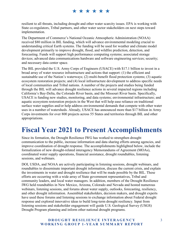resilient to all threats, including drought and other water scarcity issues. EPA is working with State co-regulators, Tribal partners, and other water sector stakeholders on next steps toward implementation.

The Department of Commerce's National Oceanic Atmospheric Administration (NOAA) received \$80 million in BIL funding, which will advance environmental modeling crucial to understanding critical Earth systems. The funding will be used for weather and climate model development primarily to improve drought, flood, and wildfire prediction, detection, and forecasting. Funds will support high performance computing systems; associated storage devices; advanced data communications hardware and software engineering services; security; and necessary data center space.

The BIL provided the U.S. Army Corps of Engineers (USACE) with \$17.1 billion to invest in a broad array of water resource infrastructure and actions that support: (1) the efficient and sustainable use of the Nation's waterways; (2) multi-benefit flood protection systems; (3) aquatic ecosystem restoration projects; and (4) local infrastructure development to address specific needs of local communities and Tribal nations. A number of the projects and studies being funded through the BIL will advance drought resilience actions in several impacted regions including California's Bay-Delta, the Colorado River basin, and the Missouri River basin. Specifically, USACE is funding new studies, monitoring, and data systems; environmental infrastructure; and aquatic ecosystem restoration projects in the West that will help ease reliance on traditional surface water supplies and/or help address environmental demands that compete with other water uses in a number of watersheds. Already, USACE has announced more than \$17 billion in Army Corps investments for over 800 projects across 55 States and territories through BIL and other appropriations.

## <span id="page-6-0"></span>**Fiscal Year 2021 to Present Accomplishments**

Since its formation, the Drought Resilience IWG has worked to strengthen drought communication to the public, increase information and data sharing efforts among agencies, and improve coordination of drought response. The accomplishments highlighted below, include the formalization of new drought-related interagency Memorandums of Agreement (MOAs), coordinated water supply operations, financial assistance, drought roundtables, listening sessions, and webinars.

DOI, USDA, and NOAA are actively participating in listening sessions, drought webinars, and roundtables to disseminate important drought information, discuss the current crisis, and explain the investments in water and drought resilience that will be made possible by the BIL. These efforts are occurring with a wide array of State government representatives, Tribal and community leaders, and local water managers. In addition, members of the Drought Resilience IWG held roundtables in New Mexico, Arizona, Colorado and Nevada and hosted numerous webinars, listening sessions, and forums about water supply, outlooks, forecasting, resiliency, and other drought information. Assembled stakeholders, decision makers, and drought experts have used these forums and listening sessions to exchange information about Federal drought response and explored innovative ideas to build long-term drought resiliency. Input from listening sessions and stakeholder engagement will guide U.S. Geological Survey (USGS) Drought Program planning and inform other national drought programs.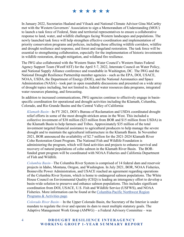### \* \* \* \* \* \*

In January 2022, Secretaries Haaland and Vilsack and National Climate Advisor Gina McCarthy met with the Western Governors' Association to sign a Memorandum of Understanding (MOU) to launch a task force of Federal, State and territorial representatives to ensure a collaborative response to land, water, and wildlife challenges facing Western landscapes and populations. The newly launched task force will help strengthen effective coordination and implementation of priority conservation programs and policies, including those affecting wildlife corridors, wildfire and drought resilience and response, and forest and rangeland restoration. The task force will be essential to strengthening collaboration, especially for the implementation of historic investments in wildlife restoration, drought mitigation, and wildland fire resilience.

The IWG also collaborated with the Western States Water Council's Western States Federal Agency Support Team (WestFAST) for the April 5-7, 2022, Interstate Council on Water Policy, and National Supply Alliance conference and roundtable in Washington, DC. The IWG and the National Drought Resilience Partnership member agencies - such as the EPA, DOI, USACE, NOAA, USDA, the Department of Energy (DOE), and the National Aeronautics and Space Administration (NASA) - took part in open roundtable discussions and presented on a wide array of drought topics including, but not limited to, federal water resources data programs, integrated water resources planning, and forecasting.

In addition to increased communications, IWG agencies continue to effectively engage in basinspecific coordination for operational and drought activities including the Klamath, Columbia, Colorado, and Rio Grande Basins and the Central Valley of California:

*Klamath Basin—*In FY 2021, DOI's Bureau of Reclamation and USDA coordinated drought relief efforts in some of the most drought-stricken areas in the West. This included a collective investment of \$38 million (\$23 million from BOR and \$15 million from USDA) in the Klamath Basin to help farmers and Tribes. Approximately \$35 million of the total investment targeted financial assistance to agricultural producers to help manage the severe drought and to maintain the agricultural infrastructure in the Klamath Basin. In November 2021, BOR announced the availability of \$2.7 million for the 2021-2024 Klamath River Coho Restoration Grant Program. The National Fish and Wildlife Foundation is administering the program, which will fund activities and projects to enhance survival and recovery of natural populations of coho salmon in the Klamath River Basin. The BORfunded grant program will be coordinated with NOAA Fisheries and California Department of Fish and Wildlife.

*Columbia Basin—*The Columbia River System is comprised of 14 federal dam and reservoir projects in Idaho, Montana, Oregon, and Washington. In July 2021, BOR, NOAA Fisheries, Bonneville Power Administration, and USACE reached an agreement regarding operations of the Columbia River System, which is home to endangered salmon populations. The White House Council on Environmental Quality (CEQ) is leading an interagency effort to develop a basin-wide solution to preserve and enhance salmon populations. This includes significant coordination from DOI, USACE, U.S. Fish and Wildlife Service (USFWS), and NOAA Fisheries. More information can be found at the [Columbia-Pacific Northwest Region](https://www.usbr.gov/pn/)  [Programs & Activities page.](https://www.usbr.gov/pn/) 

*Colorado River Basin—* In the Upper Colorado Basin, the Secretary of the Interior is under mandate to regulate the river and operate its dam to meet multiple statutory goals. The Adaptive Management Work Group (AMWG) – a Federal Advisory Committee – was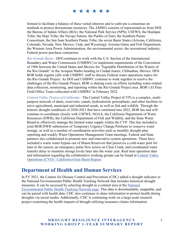### \* \* \* \* \* \*

formed to facilitate a balance of these varied interests and to cultivate a consensus on methods to protect downstream resources. The AMWG consists of representatives from DOI; the Bureau of Indian Affairs (BIA); the National Park Service (NPS); USFWS; the Hualapai Tribe; the Hopi Tribe; the Navajo Nation; the Pueblo of Zuni; the Southern Paiute Consortium; the San Juan Southern Paiute Tribe; the seven Basin States (Arizona, California, Colorado, Nevada, New Mexico, Utah, and Wyoming); Arizona Game and Fish Department; the Western Area Power Administration; the environmental sector; the recreational industry; Federal power purchase contractors.

*Rio Grande Basin—*DOI continues to work with the U.S. Section of the International Boundary and Water Commission (USIBWC) to implement requirements of the Convention of 1906 between the United States and Mexico for "Equitable Distribution of the Waters of the Rio Grande" to the Acequia Madre heading in Ciudad Juarez, Chihuahua, Mexico. DOI-BOR holds regular calls with USIBWC staff to discuss Federal water operations topics for the Rio Grande Project. As DOI and USIBWC continue to work together to resolve the challenges of the Rio Grande Project, BOR is sharing costs on efforts including water-related data collection, monitoring, and reporting within the Rio Grande Project area. BOR's El Paso Field Office Team collocated with USIBWC in February 2022.

*Central Valley Project of California—*The Central Valley Project (CVP) is a complex, multipurpose network of dams, reservoirs, canals, hydroelectric powerplants, and other facilities to serve agricultural, municipal and industrial needs, as well as fish and wildlife. Through the historic drought conditions of 2020-2021 that have continued into 2022, BOR has and will continue to coordinate closely with USFWS, NOAA, the California Department of Water Resources (DWR), the California Department of Fish and Wildlife, and the State Water Board to effectively manage the limited water supply within the CVP. This has included a joint BOR/DWR submission of Temporary Urgency Change Petitions to conserve water storage, as well as a number of coordination activities such as monthly drought plan reporting and weekly Water Operations Management Team meetings. Federal and State partners also collaborated to promote new and innovative system operations. These have included a warm water bypass out of Shasta Reservoir that preserves a cold-water pool for later in the season; an emergency pulse flow action on Clear Creek; and coordinated water transfer delay to maintain storage levels later into the water year. Real time operation data and information regarding the collaborative working groups can be found at [Central Valley](https://www.usbr.gov/mp/cvo/)  [Operations \(CVO\) - California-Great Basin Region.](https://www.usbr.gov/mp/cvo/)

### <span id="page-8-0"></span>**Department of Health and Human Services**

In FY 2021, the Centers for Disease Control and Prevention (CDC) added a drought indicator to the National Environmental Public Health Tracking Network that includes historical drought measures. It can be accessed by selecting drought as a content area at the [National](https://ephtracking.cdc.gov/)  [Environmental Public Health Tracking Network page.](https://ephtracking.cdc.gov/) This data is downloadable, mappable, and can be paired with health data. CDC also continues to share information to protect health during droughts via social media. Additionally, CDC is continuing work on a large-scale research project examining the health impacts of drought utilizing insurance claims information.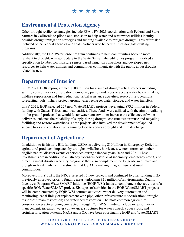\*\*\*\*\*\*

### <span id="page-9-0"></span>**Environmental Protection Agency**

Other drought resilience strategies include EPA's FY 2021 coordination with Federal and State partners in California to pilot a one-stop shop to help water and wastewater utilities identify possible drought mitigation strategies and funding available to mitigate drought. This effort also included other Federal agencies and State partners who helped utilities navigate existing programs.

Additionally, the EPA WaterSense program continues to help communities become more resilient to drought. A major update to the WaterSense Labeled-Homes program involved a specification to label soil moisture sensor-based irrigation controllers and developed new resources to help water utilities and communities communicate with the public about droughtrelated issues.

### <span id="page-9-1"></span>**Department of Interior**

In FY 2021, BOR reprogrammed \$100 million for a suite of drought relief projects including salinity control; water conservation; temporary pumps and pipes to access water below intakes; wildfire suppression and fuel reduction; Tribal assistance activities; reservoir re-operations; forecasting tools; fishery project; groundwater recharge; water storage; and water transfers.

In FY 2021, BOR selected 227 new WaterSMART projects, leveraging \$73.2 million in Federal funding with States, Tribes, and local entities. These funds were utilized with the aim of realizing on-the-ground projects that would foster water conservation; increase the efficiency of water deliveries; enhance the reliability of supply during drought; construct water reuse and recycling facilities; and restore watersheds. These projects also involved the development of applied science tools and collaborative planning effort to address drought and climate change.

### <span id="page-9-2"></span>**Department of Agriculture**

In addition to its historic BIL funding, USDA is delivering \$10 billion in Emergency Relief for agricultural producers impacted by droughts, wildfires, hurricanes, winter storms, and other eligible natural disaster events experienced during calendar years 2020 and 2021. These investments are in addition to an already extensive portfolio of indemnity, emergency credit, and direct payment disaster recovery programs; they also complement the longer-term climate and drought-related resilience investments that USDA is making in agriculture and rural communities.

Moreover, in FY 2021, the NRCS selected 15 new projects and continued to offer funding in 25 previously-approved priority funding areas, unlocking \$21 million of Environmental Quality Incentives Program WaterSMART Initiative (EQIP-WSI) funds to complement the activities of a specific BOR WaterSMART project. Six types of activities in the BOR WaterSMART projects will be complemented by EQIP-WSI contract activities: water delivery automation and monitoring; canal lining or replacement with pipe; other infrastructure modernization; drought response; stream restoration; and watershed restoration. The most common agricultural conservation practices being contracted through EQIP-WSI funding include irrigation water management; irrigation water conveyance; structures for water control; cover crops; and sprinkler irrigation systems. NRCS and BOR have been coordinating EQIP and WaterSMART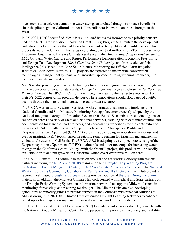### \* \* \* \* \* \*

investments to accelerate cumulative water savings and related drought resilience benefits in since the pilot began in California in 2011. This collaborative work continues throughout the West.

In FY 2021, NRCS identified *Water Resources and Increased Resilience* as a priority concern under the NRCS Conservation Innovation Grants (CIG) Program to stimulate the development and adoption of approaches that address climate-smart water quality and quantity issues. Three proposals were funded within this category, totaling over \$2.4 million (Low-Tech Process Based In-Stream Structures to Increase Climate Resiliency in the Great Plains, *Juniper Environmental, LLC*; On-Farm Water Capture and Reuse: Performance Demonstration, Economic Feasibility, and Design Tool Development, *North Carolina State University;* and Mesoscale Artificial Intelligence (AI) Based Root-Zone Soil Moisture Monitoring for Efficient Farm Irrigation, *Worcester Polytechnic Institute).* CIG projects are expected to incorporate conservation technologies, management systems, and innovative approaches to agricultural producers, into technical manuals and guides.

NRCS is also providing innovative technology for aquifer and groundwater recharge through two interim conservation practice standards, *Managed Aquifer Recharge and Groundwater Recharge Basin or Trench.* The NRCS in California will begin evaluating their effectiveness as part of their FY 2022 conservation program delivery. These innovations should slow rates of aquifer decline through the intentional increase in groundwater recharge.

The USDA Agricultural Research Services (ARS) continues to support and implement the National Coordinated Soil Moisture Monitoring Strategy Document recently adopted by the National Integrated Drought Information System (NIDIS). ARS scientists are conducting sensor calibration across a variety of State and National networks, assisting with data interpretation and documentation for standards and protocols, and coordinating workshops for the contributors to the network. Additionally, the ARS Grape Remote sensing Atmospheric Profile and Evapotranspiration eXperiment (GRAPEX) project is developing an operational water use and evapotranspiration (ET) toolkit based on satellite remote sensing for irrigation management in vinicultural systems in California. The USDA-ARS is adapting tree crop eemote sensing of the Evapotranspiration eXperiment (T-REX) to almonds and other tree crops for increasing water savings in the California Central Valley. With the OpenET project, this product will be readily available to fruit and nut growers in California, which cover over three million acres.

The USDA Climate Hubs continue to focus on drought and are working closely with regional partners including the [NOAA and NIDIS](https://www.drought.gov/drought/what-nidis) teams and their [Drought Early Warning Program,](http://cpo.noaa.gov/News/ArtMID/6315/ArticleID/918/NIDIS-launches-two-new-Drought-Early-Warning-Systems) the [National Drought Mitigation Center,](http://drought.unl.edu/) the [NOAA Climate Predictions Center,](http://www.cpc.noaa.gov/) and the [National](http://www.weather.gov/)  [Weather Service'](http://www.weather.gov/)s [Community Collaborative Rain Snow and Hail network.](https://www.cocorahs.org/) Each Hub provides regional, web-based [drought resources a](https://www.climatehubs.usda.gov/dealing-drought)nd supports distribution of [the U.S. Drought Monitor](http://droughtmonitor.unl.edu/) materials. In addition, the Midwest Climate Hub collaborated with Federal and State partners on the Drought Early Warning System, an information network that supports Midwest farmers in monitoring, forecasting, and planning for drought. The Climate Hubs are also developing agricultural commodity guides to provide farmers in the Southeast with practical solutions to address drought. In 2021, the Climate Hubs expanded Drought Learning Networks to enhance peer-to-peer learning on drought and organized a new network in the Caribbean.

The USDA Office of the Chief Economist (OCE) has entered into Cooperative Agreements with the National Drought Mitigation Center for the purpose of improving the accuracy and usability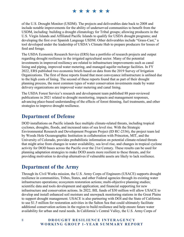of the U.S. Drought Monitor (USDM). The projects and deliverables date back to 2008 and include notable improvements for the ability of underserved communities to benefit from the USDM, including: building a drought climatology for Tribal groups; allowing producers in the U.S. Virgin Islands and Affiliated Pacific Islands to qualify for USDA drought programs; and developing the first ever Spanish Language USDM. Other deliverables include "Grass-Cast," a tool developed under the leadership of USDA's Climate Hub to prepare producers for losses of feed and forage.

The USDA Economic Research Service (ERS) has a portfolio of research projects and output regarding drought resilience in the irrigated agricultural sector. Many of the potential investments in improved resiliency are related to infrastructure improvements such as canal lining and piping, improved water metering, and managed aquifer recharge facilities. In FY 2022, ERS published two economic briefs based on data from the 2019 Survey of Irrigation Organizations. The first of these reports found that most conveyance infrastructure is unlined due to the high costs of lining. The second of these reports found that as part of their drought planning process, the most common types of water conservation investments made by water delivery organizations are improved water metering and canal lining.

The USDA Forest Service's research and development team published 88 peer-reviewed publications in 2021 related to drought monitoring, impacts and management responses, advancing place-based understanding of the effects of forest thinning, fuel treatments, and other strategies to improve drought resilience.

### <span id="page-11-0"></span>**Department of Defense**

DOD installations on Pacific islands face multiple climate-related threats, including tropical cyclones, droughts, floods, and increased rates of sea level rise. With the Strategic Environmental Research and Development Program Project (ID RC-2336), the project team led by Woods Hole Oceanographic Institution in collaboration with Princeton, MIT, and the University of Colorado, provides probabilistic information on potential climate-related threats that might arise from changes in water availability, sea level rise, and changes in tropical cyclone activity for DOD bases across the Pacific over the 21st Century. These results can be used for planning adaptation strategies to make DOD assets more resilient to these threats, and for providing motivation to develop alternatives if vulnerable assets are likely to lack resilience.

### <span id="page-11-1"></span>**Department of the Army**

Through its Civil Works mission, the U.S. Army Corps of Engineers (USACE) supports drought resilience in communities, Tribes, States, and other Federal agencies through its existing water infrastructure operations; ecosystem restoration actions; multi-objective planning studies; scientific data and tools development and application; and financial supporting for new infrastructure and conservation actions. In 2022, BIL funds of \$30 million will allow USACE to develop and install enhanced soil moisture and snowpack monitoring stations in the Great Plains to support drought management. USACE is also partnering with DOI and the State of California to use \$1.5 million for restoration activities in the Salton Sea that could ultimately facilitate additional conservation actions in the region to build resilience and help ensure future water availability for urban and rural needs. In California's Central Valley, the U.S. Army Corps of